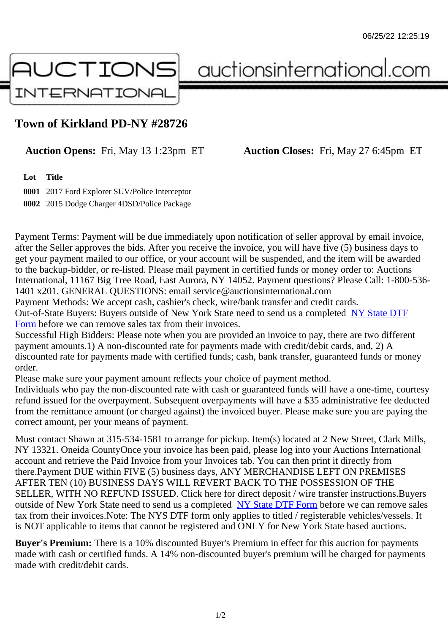## Town of Kirkland PD-NY #28726

Auction Opens: Fri, May 13 1:23pm ET Auction Closes: Fri, May 27 6:45pm ET

Lot Title

0001 2017 Ford Explorer SUV/Police Interceptor 0002 2015 Dodge Charger 4DSD/Police Package

Payment Terms: Payment will be due immediately upon notification of seller approval by email invoice, after the Seller approves the bids. After you receive the invoice, you will have five (5) business days to get your payment mailed to our office, or your account will be suspended, and the item will be awarded to the backup-bidder, or re-listed. Please mail payment in certified funds or money order to: Auctions International, 11167 Big Tree Road, East Aurora, NY 14052. Payment questions? Please Call: 1-800-53 1401 x201. GENERAL QUESTIONS: email service@auctionsinternational.com

Payment Methods: We accept cash, cashier's check, wire/bank transfer and credit cards. Out-of-State Buyers: Buyers outside of New York State need to send us a com blestate DTF Form before we can remove sales tax from their invoices.

Successful High Bidders: Please note when you are provided an invoice to pay, there are two different payment amounts.1) A non-discounted rate for payments made with credit/de[bit cards, and](https://www.auctionsinternational.com/auxiliary/downloads/DTF_Form/dtf_fill_in.pdf), 2) A [disco](https://www.auctionsinternational.com/auxiliary/downloads/DTF_Form/dtf_fill_in.pdf)unted rate for payments made with certified funds; cash, bank transfer, guaranteed funds or mone order.

Please make sure your payment amount reflects your choice of payment method.

Individuals who pay the non-discounted rate with cash or quaranteed funds will have a one-time, courte refund issued for the overpayment. Subsequent overpayments will have a \$35 administrative fee deduc from the remittance amount (or charged against) the invoiced buyer. Please make sure you are paying correct amount, per your means of payment.

Must contact Shawn at 315-534-1581 to arrange for pickup. Item(s) located at 2 New Street, Clark Mills, NY 13321. Oneida CountyOnce your invoice has been paid, please log into your Auctions International account and retrieve the Paid Invoice from your Invoices tab. You can then print it directly from there.Payment DUE within FIVE (5) business days, ANY MERCHANDISE LEFT ON PREMISES AFTER TEN (10) BUSINESS DAYS WILL REVERT BACK TO THE POSSESSION OF THE SELLER, WITH NO REFUND ISSUED. Click here for direct deposit / wire transfer instructions.Buyers outside of New York State need to send us a complete **State DTF Form before we can remove sales** tax from their invoices.Note: The NYS DTF form only applies to titled / registerable vehicles/vessels. It is NOT applicable to items that cannot be registered and ONLY for New York State based auctions.

Buyer's Premium: There is a 10% discounted Buye[r's Premium in effec](https://www.auctionsinternational.com/auxiliary/downloads/DTF_Form/dtf_fill_in.pdf)t for this auction for payments made with cash or certified funds. A 14% non-discounted buyer's premium will be charged for payments made with credit/debit cards.